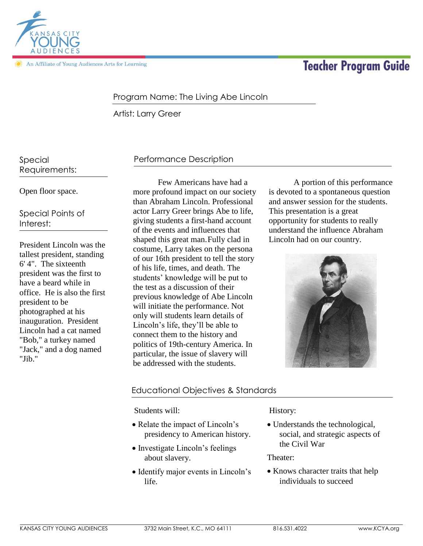

An Affiliate of Young Audiences Arts for Learning

# **Teacher Program Guide**

### Program Name: The Living Abe Lincoln

Artist: Larry Greer

Special Requirements:

Open floor space.

Special Points of Interest:

President Lincoln was the tallest president, standing 6' 4". The sixteenth president was the first to have a beard while in office. He is also the first president to be photographed at his inauguration. President Lincoln had a cat named "Bob," a turkey named "Jack," and a dog named "Jib."

## Performance Description

Few Americans have had a more profound impact on our society than Abraham Lincoln. Professional actor Larry Greer brings Abe to life, giving students a first-hand account of the events and influences that shaped this great man.Fully clad in costume, Larry takes on the persona of our 16th president to tell the story of his life, times, and death. The students' knowledge will be put to the test as a discussion of their previous knowledge of Abe Lincoln will initiate the performance. Not only will students learn details of Lincoln's life, they'll be able to connect them to the history and politics of 19th-century America. In particular, the issue of slavery will be addressed with the students.

A portion of this performance is devoted to a spontaneous question and answer session for the students. This presentation is a great opportunity for students to really understand the influence Abraham Lincoln had on our country.



#### Educational Objectives & Standards

Students will:

- Relate the impact of Lincoln's presidency to American history.
- Investigate Lincoln's feelings about slavery.
- Identify major events in Lincoln's life.

History:

 Understands the technological, social, and strategic aspects of the Civil War

Theater:

• Knows character traits that help individuals to succeed